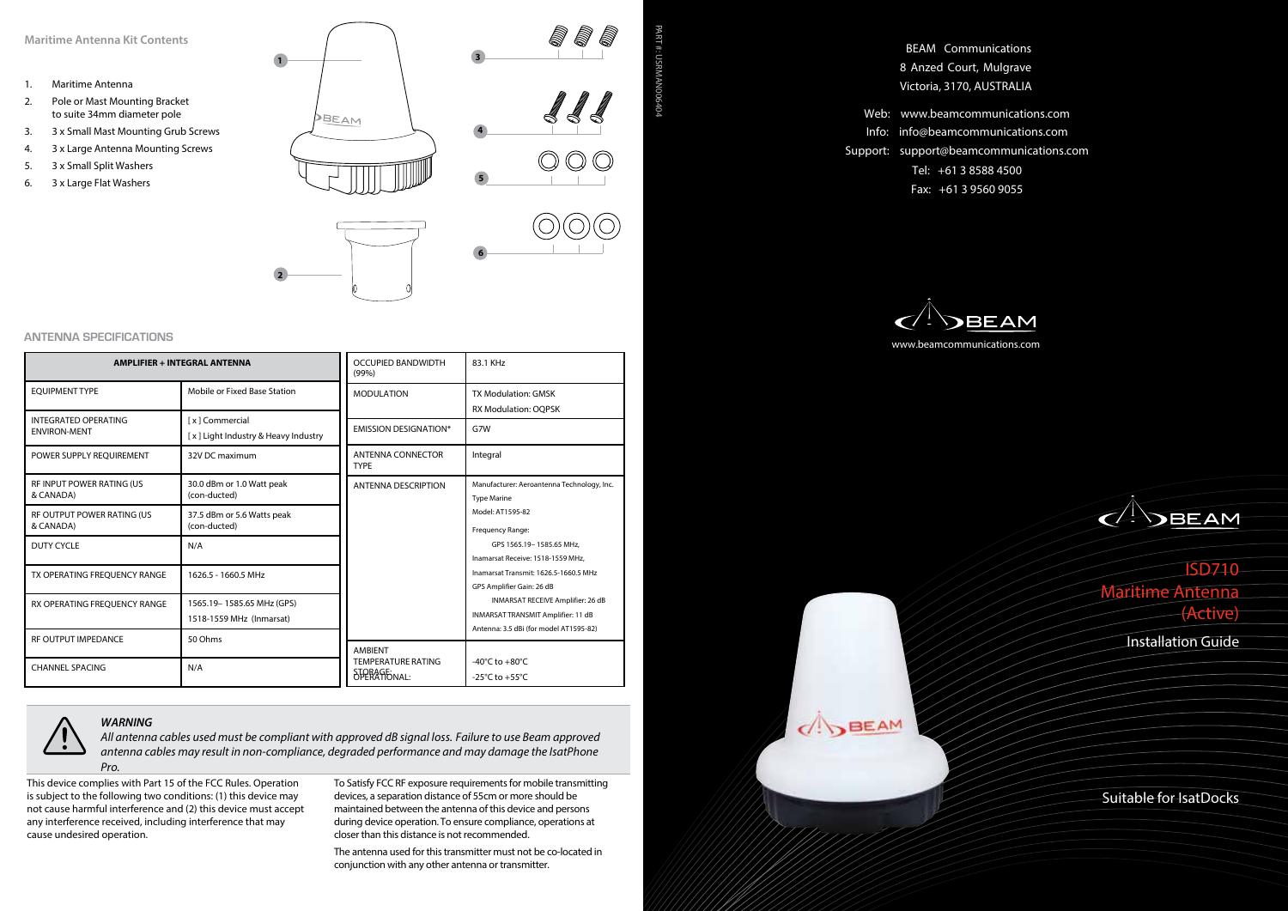## **Maritime Antenna Kit Contents**

- 1. Maritime Antenna
- 2. Pole or Mast Mounting Bracket to suite 34mm diameter pole
- 3. 3 x Small Mast Mounting Grub Screws
- 4. 3 x Large Antenna Mounting Screws
- 5. 3 x Small Split Washers
- 6. 3 x Large Flat Washers

![](_page_0_Figure_7.jpeg)

PART #: USRMAN006404

PART #: USRMAN00640<

## **ANTENNA SPECIFICATIONS**

| <b>AMPLIFIER + INTEGRAL ANTENNA</b>                |                                                       | <b>OCCUPIED BANDWIDTH</b><br>(99% )       | 83.1 KHz                                                                                                          |
|----------------------------------------------------|-------------------------------------------------------|-------------------------------------------|-------------------------------------------------------------------------------------------------------------------|
| <b>EOUIPMENT TYPE</b>                              | Mobile or Fixed Base Station                          | <b>MODULATION</b>                         | <b>TX Modulation: GMSK</b><br><b>RX Modulation: OOPSK</b>                                                         |
| <b>INTEGRATED OPERATING</b><br><b>ENVIRON-MENT</b> | [x] Commercial<br>[x] Light Industry & Heavy Industry | <b>EMISSION DESIGNATION*</b>              | G7W                                                                                                               |
| POWER SUPPLY REOUIREMENT                           | 32V DC maximum                                        | <b>ANTENNA CONNECTOR</b><br><b>TYPE</b>   | Integral                                                                                                          |
| <b>RF INPUT POWER RATING (US)</b><br>& CANADA)     | 30.0 dBm or 1.0 Watt peak<br>(con-ducted)             | <b>ANTENNA DESCRIPTION</b>                | Manufacturer: Aeroantenna Technology, Inc.<br><b>Type Marine</b>                                                  |
| RF OUTPUT POWER RATING (US<br>& CANADA)            | 37.5 dBm or 5.6 Watts peak<br>(con-ducted)            |                                           | Model: AT1595-82<br>Frequency Range:                                                                              |
| DUTY CYCLE                                         | N/A                                                   |                                           | GPS 1565.19-1585.65 MHz.<br>Inamarsat Receive: 1518-1559 MHz.                                                     |
| TX OPERATING FREOUENCY RANGE                       | 1626.5 - 1660.5 MHz                                   |                                           | Inamarsat Transmit: 1626.5-1660.5 MHz<br>GPS Amplifier Gain: 26 dB                                                |
| RX OPERATING FREOUENCY RANGE                       | 1565.19-1585.65 MHz (GPS)<br>1518-1559 MHz (Inmarsat) |                                           | INMARSAT RECEIVE Amplifier: 26 dB<br>INMARSAT TRANSMIT Amplifier: 11 dB<br>Antenna: 3.5 dBi (for model AT1595-82) |
| <b>RE OUTPUT IMPEDANCE</b>                         | 50 Ohms                                               | <b>AMBIENT</b>                            |                                                                                                                   |
| <b>CHANNEL SPACING</b>                             | N/A                                                   | <b>TEMPERATURE RATING</b><br>SPERAFFONAL: | -40 $\degree$ C to +80 $\degree$ C<br>-25 $°C$ to +55 $°C$                                                        |

*WARNING*

*All antenna cables used must be compliant with approved dB signal loss. Failure to use Beam approved antenna cables may result in non-compliance, degraded performance and may damage the IsatPhone Pro.*

This device complies with Part 15 of the FCC Rules. Operation is subject to the following two conditions: (1) this device may not cause harmful interference and (2) this device must accept any interference received, including interference that may cause undesired operation.

To Satisfy FCC RF exposure requirements for mobile transmitting devices, a separation distance of 55cm or more should be maintained between the antenna of this device and persons during device operation. To ensure compliance, operations at closer than this distance is not recommended.

The antenna used for this transmitter must not be co-located in conjunction with any other antenna or transmitter.

BEAM Communications 8 Anzed Court, Mulgrave Victoria, 3170, AUSTRALIA

Web: www.beamcommunications.com Info: info@beamcommunications.com Support: support@beamcommunications.com Tel: +61 3 8588 4500 Fax: +61 3 9560 9055

![](_page_0_Picture_18.jpeg)

 $\bigcap$ BEAM

![](_page_0_Picture_19.jpeg)

Suitable for IsatDocks